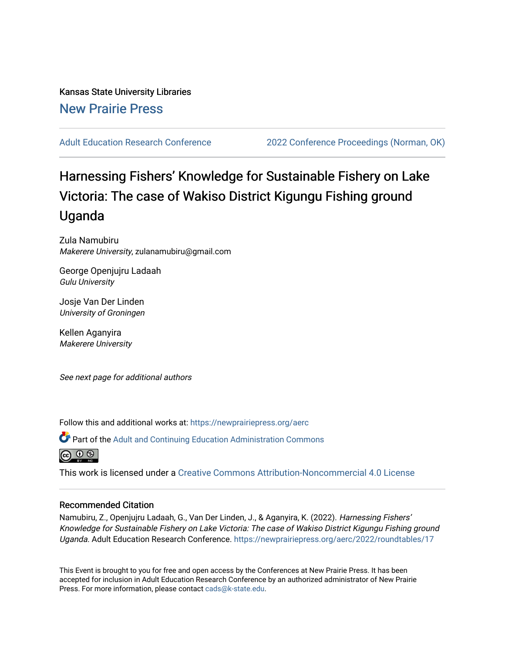Kansas State University Libraries [New Prairie Press](https://newprairiepress.org/) 

[Adult Education Research Conference](https://newprairiepress.org/aerc) [2022 Conference Proceedings \(Norman, OK\)](https://newprairiepress.org/aerc/2022) 

# Harnessing Fishers' Knowledge for Sustainable Fishery on Lake Victoria: The case of Wakiso District Kigungu Fishing ground Uganda

Zula Namubiru Makerere University, zulanamubiru@gmail.com

George Openjujru Ladaah Gulu University

Josje Van Der Linden University of Groningen

Kellen Aganyira Makerere University

See next page for additional authors

Follow this and additional works at: [https://newprairiepress.org/aerc](https://newprairiepress.org/aerc?utm_source=newprairiepress.org%2Faerc%2F2022%2Froundtables%2F17&utm_medium=PDF&utm_campaign=PDFCoverPages)

Part of the [Adult and Continuing Education Administration Commons](https://network.bepress.com/hgg/discipline/789?utm_source=newprairiepress.org%2Faerc%2F2022%2Froundtables%2F17&utm_medium=PDF&utm_campaign=PDFCoverPages)



This work is licensed under a [Creative Commons Attribution-Noncommercial 4.0 License](https://creativecommons.org/licenses/by-nc/4.0/)

### Recommended Citation

Namubiru, Z., Openjujru Ladaah, G., Van Der Linden, J., & Aganyira, K. (2022). Harnessing Fishers' Knowledge for Sustainable Fishery on Lake Victoria: The case of Wakiso District Kigungu Fishing ground Uganda. Adult Education Research Conference. <https://newprairiepress.org/aerc/2022/roundtables/17>

This Event is brought to you for free and open access by the Conferences at New Prairie Press. It has been accepted for inclusion in Adult Education Research Conference by an authorized administrator of New Prairie Press. For more information, please contact [cads@k-state.edu.](mailto:cads@k-state.edu)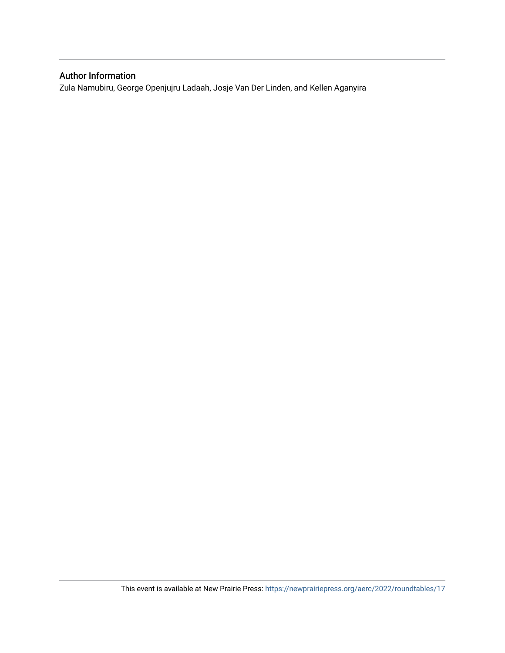# Author Information

Zula Namubiru, George Openjujru Ladaah, Josje Van Der Linden, and Kellen Aganyira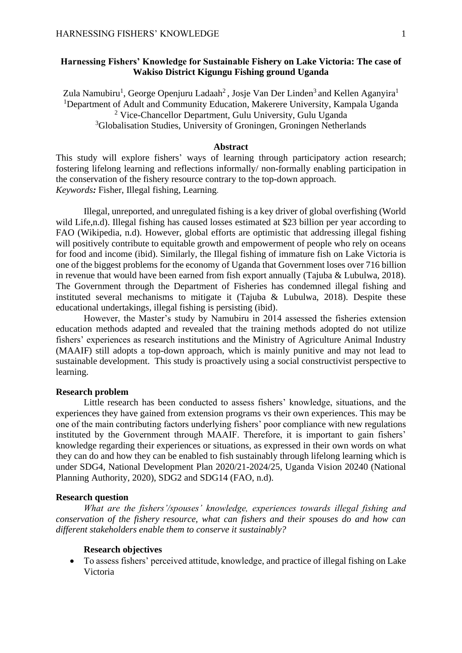# **Harnessing Fishers' Knowledge for Sustainable Fishery on Lake Victoria: The case of Wakiso District Kigungu Fishing ground Uganda**

Zula Namubiru<sup>1</sup>, George Openjuru Ladaah<sup>2</sup>, Josje Van Der Linden<sup>3</sup> and Kellen Aganyira<sup>1</sup> <sup>1</sup>Department of Adult and Community Education, Makerere University, Kampala Uganda <sup>2</sup> Vice-Chancellor Department, Gulu University, Gulu Uganda <sup>3</sup>Globalisation Studies, University of Groningen, Groningen Netherlands

# **Abstract**

This study will explore fishers' ways of learning through participatory action research; fostering lifelong learning and reflections informally/ non-formally enabling participation in the conservation of the fishery resource contrary to the top-down approach. *Keywords:* Fisher, Illegal fishing, Learning.

Illegal, unreported, and unregulated fishing is a key driver of global overfishing (World wild Life,n.d). Illegal fishing has caused losses estimated at \$23 billion per year according to FAO (Wikipedia, n.d). However, global efforts are optimistic that addressing illegal fishing will positively contribute to equitable growth and empowerment of people who rely on oceans for food and income (ibid). Similarly, the Illegal fishing of immature fish on Lake Victoria is one of the biggest problems for the economy of Uganda that Government loses over 716 billion in revenue that would have been earned from fish export annually (Tajuba & Lubulwa, 2018). The Government through the Department of Fisheries has condemned illegal fishing and instituted several mechanisms to mitigate it (Tajuba & Lubulwa, 2018). Despite these educational undertakings, illegal fishing is persisting (ibid).

However, the Master's study by Namubiru in 2014 assessed the fisheries extension education methods adapted and revealed that the training methods adopted do not utilize fishers' experiences as research institutions and the Ministry of Agriculture Animal Industry (MAAIF) still adopts a top-down approach, which is mainly punitive and may not lead to sustainable development. This study is proactively using a social constructivist perspective to learning.

#### **Research problem**

Little research has been conducted to assess fishers' knowledge, situations, and the experiences they have gained from extension programs vs their own experiences. This may be one of the main contributing factors underlying fishers' poor compliance with new regulations instituted by the Government through MAAIF. Therefore, it is important to gain fishers' knowledge regarding their experiences or situations, as expressed in their own words on what they can do and how they can be enabled to fish sustainably through lifelong learning which is under SDG4, National Development Plan 2020/21-2024/25, Uganda Vision 20240 (National Planning Authority, 2020), SDG2 and SDG14 (FAO, n.d).

### **Research question**

*What are the fishers'/spouses' knowledge, experiences towards illegal fishing and conservation of the fishery resource, what can fishers and their spouses do and how can different stakeholders enable them to conserve it sustainably?* 

#### **Research objectives**

• To assess fishers' perceived attitude, knowledge, and practice of illegal fishing on Lake Victoria